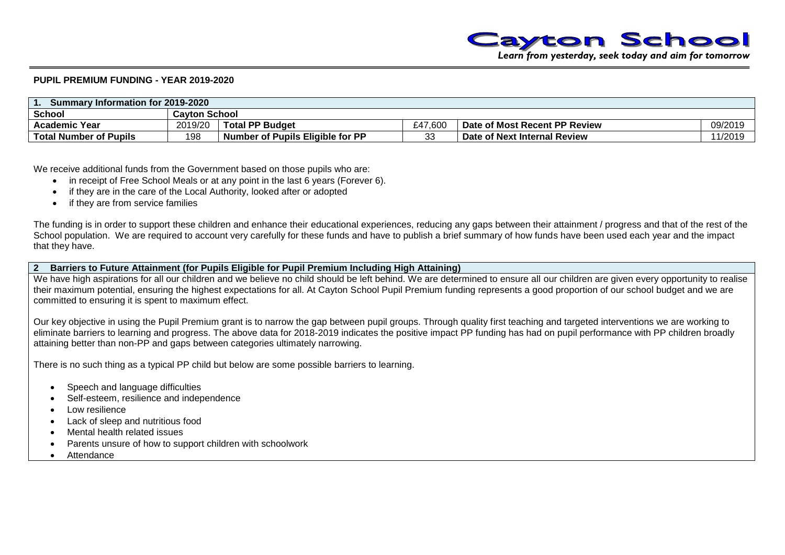

*Learn from yesterday, seek today and aim for tomorrow*

#### **PUPIL PREMIUM FUNDING - YEAR 2019-2020**

| Summary Information for 2019-2020 |                      |                                  |         |                                     |                  |  |  |  |
|-----------------------------------|----------------------|----------------------------------|---------|-------------------------------------|------------------|--|--|--|
| <b>School</b>                     | <b>Cavton School</b> |                                  |         |                                     |                  |  |  |  |
| <b>Academic Year</b>              | 2019/20              | <b>Total PP Budget</b>           | £47.600 | Date of Most Recent PP Review       | 09/2019          |  |  |  |
| <b>Total Number of Pupils</b>     | 198                  | Number of Pupils Eligible for PP | ົ<br>◡◡ | <b>Date of Next Internal Review</b> | 1001c<br>או ט∠וו |  |  |  |

We receive additional funds from the Government based on those pupils who are:

- in receipt of Free School Meals or at any point in the last 6 years (Forever 6).
- if they are in the care of the Local Authority, looked after or adopted
- if they are from service families

The funding is in order to support these children and enhance their educational experiences, reducing any gaps between their attainment / progress and that of the rest of the School population. We are required to account very carefully for these funds and have to publish a brief summary of how funds have been used each year and the impact that they have.

#### **2 Barriers to Future Attainment (for Pupils Eligible for Pupil Premium Including High Attaining)**

We have high aspirations for all our children and we believe no child should be left behind. We are determined to ensure all our children are given every opportunity to realise their maximum potential, ensuring the highest expectations for all. At Cayton School Pupil Premium funding represents a good proportion of our school budget and we are committed to ensuring it is spent to maximum effect.

Our key objective in using the Pupil Premium grant is to narrow the gap between pupil groups. Through quality first teaching and targeted interventions we are working to eliminate barriers to learning and progress. The above data for 2018-2019 indicates the positive impact PP funding has had on pupil performance with PP children broadly attaining better than non-PP and gaps between categories ultimately narrowing.

There is no such thing as a typical PP child but below are some possible barriers to learning.

- Speech and language difficulties
- Self-esteem, resilience and independence
- Low resilience
- Lack of sleep and nutritious food
- Mental health related issues
- Parents unsure of how to support children with schoolwork
- **Attendance**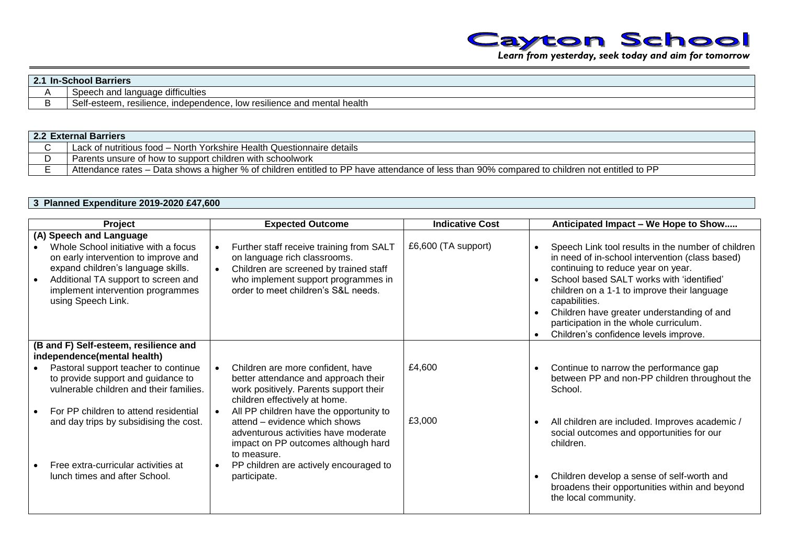

| $-21$<br>-In<br><b>E.I</b> | -School Barriers                                                                  |  |  |  |  |
|----------------------------|-----------------------------------------------------------------------------------|--|--|--|--|
|                            | Speech and language difficulties                                                  |  |  |  |  |
|                            | Self-esteem, resilience,<br>. independence.<br>, low resilience and mental health |  |  |  |  |

| 2.2 External Barriers                                                                                                                        |  |  |  |  |  |
|----------------------------------------------------------------------------------------------------------------------------------------------|--|--|--|--|--|
| Lack of nutritious food - North Yorkshire Health Questionnaire details                                                                       |  |  |  |  |  |
| Parents unsure of how to support children with schoolwork                                                                                    |  |  |  |  |  |
| Attendance rates – Data shows a higher % of children entitled to PP have attendance of less than 90% compared to children not entitled to PP |  |  |  |  |  |

## **3 Planned Expenditure 2019-2020 £47,600**

| Project                                                                                                                                                                                                                                         | <b>Expected Outcome</b>                                                                                                                                                                          | <b>Indicative Cost</b> | Anticipated Impact - We Hope to Show                                                                                                                                                                                                                                                                                                                                                      |
|-------------------------------------------------------------------------------------------------------------------------------------------------------------------------------------------------------------------------------------------------|--------------------------------------------------------------------------------------------------------------------------------------------------------------------------------------------------|------------------------|-------------------------------------------------------------------------------------------------------------------------------------------------------------------------------------------------------------------------------------------------------------------------------------------------------------------------------------------------------------------------------------------|
| (A) Speech and Language<br>Whole School initiative with a focus<br>on early intervention to improve and<br>expand children's language skills.<br>Additional TA support to screen and<br>implement intervention programmes<br>using Speech Link. | Further staff receive training from SALT<br>on language rich classrooms.<br>Children are screened by trained staff<br>who implement support programmes in<br>order to meet children's S&L needs. | £6,600 (TA support)    | Speech Link tool results in the number of children<br>in need of in-school intervention (class based)<br>continuing to reduce year on year.<br>School based SALT works with 'identified'<br>children on a 1-1 to improve their language<br>capabilities.<br>Children have greater understanding of and<br>participation in the whole curriculum.<br>Children's confidence levels improve. |
| (B and F) Self-esteem, resilience and<br>independence(mental health)                                                                                                                                                                            |                                                                                                                                                                                                  |                        |                                                                                                                                                                                                                                                                                                                                                                                           |
| Pastoral support teacher to continue<br>to provide support and guidance to<br>vulnerable children and their families.                                                                                                                           | Children are more confident, have<br>better attendance and approach their<br>work positively. Parents support their<br>children effectively at home.                                             | £4,600                 | Continue to narrow the performance gap<br>between PP and non-PP children throughout the<br>School.                                                                                                                                                                                                                                                                                        |
| For PP children to attend residential<br>and day trips by subsidising the cost.                                                                                                                                                                 | All PP children have the opportunity to<br>attend - evidence which shows<br>adventurous activities have moderate<br>impact on PP outcomes although hard<br>to measure.                           | £3,000                 | All children are included. Improves academic /<br>social outcomes and opportunities for our<br>children.                                                                                                                                                                                                                                                                                  |
| Free extra-curricular activities at<br>lunch times and after School.                                                                                                                                                                            | PP children are actively encouraged to<br>participate.                                                                                                                                           |                        | Children develop a sense of self-worth and<br>broadens their opportunities within and beyond<br>the local community.                                                                                                                                                                                                                                                                      |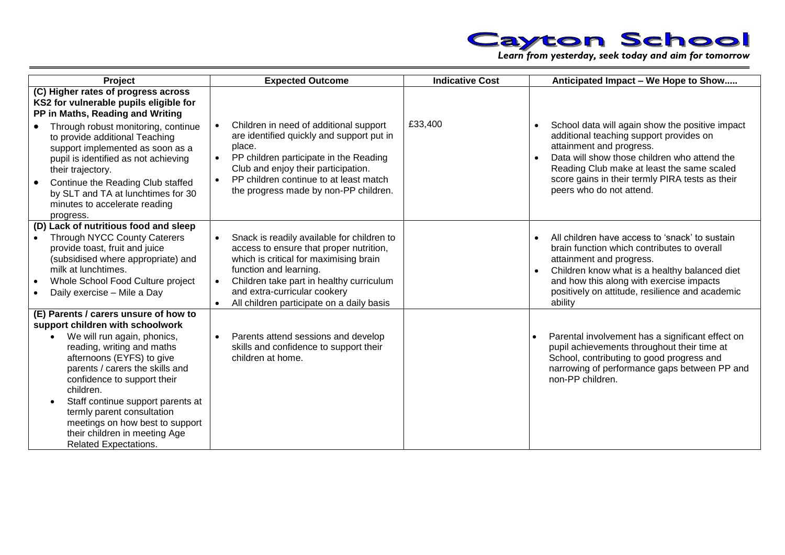

| Project                                                                                                                                                                                                                                                                                                                                                                                                                                | <b>Expected Outcome</b>                                                                                                                                                                                                                                                            | <b>Indicative Cost</b> | Anticipated Impact - We Hope to Show                                                                                                                                                                                                                                                                |
|----------------------------------------------------------------------------------------------------------------------------------------------------------------------------------------------------------------------------------------------------------------------------------------------------------------------------------------------------------------------------------------------------------------------------------------|------------------------------------------------------------------------------------------------------------------------------------------------------------------------------------------------------------------------------------------------------------------------------------|------------------------|-----------------------------------------------------------------------------------------------------------------------------------------------------------------------------------------------------------------------------------------------------------------------------------------------------|
| (C) Higher rates of progress across<br>KS2 for vulnerable pupils eligible for<br>PP in Maths, Reading and Writing<br>Through robust monitoring, continue<br>to provide additional Teaching<br>support implemented as soon as a<br>pupil is identified as not achieving<br>their trajectory.<br>Continue the Reading Club staffed<br>by SLT and TA at lunchtimes for 30<br>minutes to accelerate reading<br>progress.                   | Children in need of additional support<br>are identified quickly and support put in<br>place.<br>PP children participate in the Reading<br>Club and enjoy their participation.<br>PP children continue to at least match<br>$\bullet$<br>the progress made by non-PP children.     | £33,400                | School data will again show the positive impact<br>additional teaching support provides on<br>attainment and progress.<br>Data will show those children who attend the<br>Reading Club make at least the same scaled<br>score gains in their termly PIRA tests as their<br>peers who do not attend. |
| (D) Lack of nutritious food and sleep<br><b>Through NYCC County Caterers</b><br>provide toast, fruit and juice<br>(subsidised where appropriate) and<br>milk at lunchtimes.<br>Whole School Food Culture project<br>Daily exercise - Mile a Day                                                                                                                                                                                        | Snack is readily available for children to<br>access to ensure that proper nutrition,<br>which is critical for maximising brain<br>function and learning.<br>Children take part in healthy curriculum<br>and extra-curricular cookery<br>All children participate on a daily basis |                        | All children have access to 'snack' to sustain<br>brain function which contributes to overall<br>attainment and progress.<br>Children know what is a healthy balanced diet<br>and how this along with exercise impacts<br>positively on attitude, resilience and academic<br>ability                |
| (E) Parents / carers unsure of how to<br>support children with schoolwork<br>We will run again, phonics,<br>reading, writing and maths<br>afternoons (EYFS) to give<br>parents / carers the skills and<br>confidence to support their<br>children.<br>Staff continue support parents at<br>$\bullet$<br>termly parent consultation<br>meetings on how best to support<br>their children in meeting Age<br><b>Related Expectations.</b> | Parents attend sessions and develop<br>skills and confidence to support their<br>children at home.                                                                                                                                                                                 |                        | Parental involvement has a significant effect on<br>$\bullet$<br>pupil achievements throughout their time at<br>School, contributing to good progress and<br>narrowing of performance gaps between PP and<br>non-PP children.                                                                       |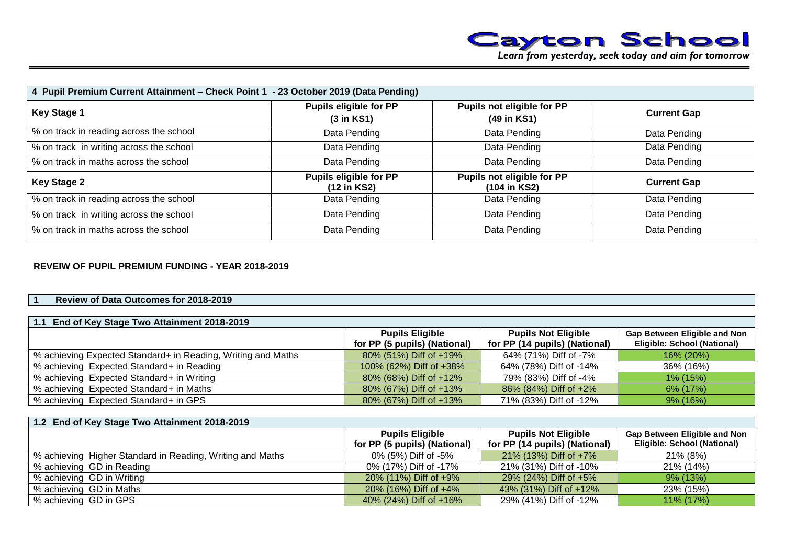

| 4 Pupil Premium Current Attainment – Check Point 1 - 23 October 2019 (Data Pending) |                                                       |                                            |                    |  |  |  |
|-------------------------------------------------------------------------------------|-------------------------------------------------------|--------------------------------------------|--------------------|--|--|--|
| <b>Key Stage 1</b>                                                                  | <b>Pupils eligible for PP</b><br>$(3 \text{ in KS1})$ | Pupils not eligible for PP<br>(49 in KS1)  | <b>Current Gap</b> |  |  |  |
| % on track in reading across the school                                             | Data Pending                                          | Data Pending                               | Data Pending       |  |  |  |
| % on track in writing across the school                                             | Data Pending                                          | Data Pending                               | Data Pending       |  |  |  |
| % on track in maths across the school                                               | Data Pending                                          | Data Pending                               | Data Pending       |  |  |  |
| <b>Key Stage 2</b>                                                                  | <b>Pupils eligible for PP</b><br>(12 in KS2)          | Pupils not eligible for PP<br>(104 in KS2) | <b>Current Gap</b> |  |  |  |
| % on track in reading across the school                                             | Data Pending                                          | Data Pending                               | Data Pending       |  |  |  |
| % on track in writing across the school                                             | Data Pending                                          | Data Pending                               | Data Pending       |  |  |  |
| % on track in maths across the school                                               | Data Pending                                          | Data Pending                               | Data Pending       |  |  |  |

## **REVEIW OF PUPIL PREMIUM FUNDING - YEAR 2018-2019**

#### **1 Review of Data Outcomes for 2018-2019**

| 1.1 End of Key Stage Two Attainment 2018-2019                |                              |                               |                                     |  |  |
|--------------------------------------------------------------|------------------------------|-------------------------------|-------------------------------------|--|--|
|                                                              | <b>Pupils Eligible</b>       | <b>Pupils Not Eligible</b>    | <b>Gap Between Eligible and Non</b> |  |  |
|                                                              | for PP (5 pupils) (National) | for PP (14 pupils) (National) | <b>Eligible: School (National)</b>  |  |  |
| % achieving Expected Standard+ in Reading, Writing and Maths | 80% (51%) Diff of +19%       | 64% (71%) Diff of -7%         | <b>16% (20%)</b>                    |  |  |
| % achieving Expected Standard+ in Reading                    | 100% (62%) Diff of $+38%$    | 64% (78%) Diff of -14%        | 36% (16%)                           |  |  |
| % achieving Expected Standard+ in Writing                    | $80\%$ (68%) Diff of $+12\%$ | 79% (83%) Diff of -4%         | 1% (15%)                            |  |  |
| % achieving Expected Standard+ in Maths                      | 80% (67%) Diff of +13%       | 86% (84%) Diff of +2%         | 6% (17%)                            |  |  |
| % achieving Expected Standard+ in GPS                        | 80% (67%) Diff of +13%       | 71% (83%) Diff of -12%        | $9\%$ (16%)                         |  |  |

| 1.2 End of Key Stage Two Attainment 2018-2019             |                              |                               |                                     |  |  |
|-----------------------------------------------------------|------------------------------|-------------------------------|-------------------------------------|--|--|
|                                                           | <b>Pupils Eligible</b>       | <b>Pupils Not Eligible</b>    | <b>Gap Between Eligible and Non</b> |  |  |
|                                                           | for PP (5 pupils) (National) | for PP (14 pupils) (National) | Eligible: School (National)         |  |  |
| % achieving Higher Standard in Reading, Writing and Maths | 0% (5%) Diff of -5%          | 21% (13%) Diff of +7%         | $21\%$ (8%)                         |  |  |
| % achieving GD in Reading                                 | 0% (17%) Diff of -17%        | 21% (31%) Diff of -10%        | 21% (14%)                           |  |  |
| % achieving GD in Writing                                 | 20% (11%) Diff of +9%        | 29% (24%) Diff of +5%         | $9\%$ (13%)                         |  |  |
| % achieving GD in Maths                                   | 20% (16%) Diff of +4%        | 43% (31%) Diff of +12%        | 23% (15%)                           |  |  |
| % achieving GD in GPS                                     | 40% (24%) Diff of +16%       | 29% (41%) Diff of -12%        | 11% (17%)                           |  |  |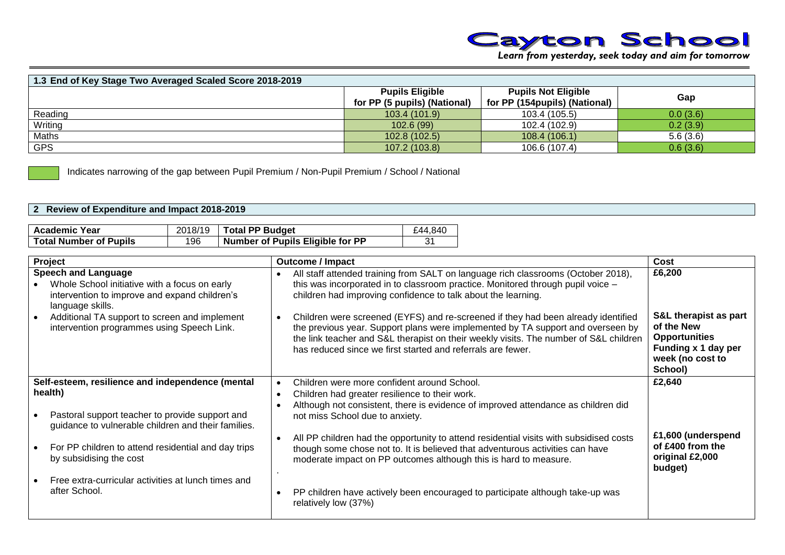

| 1.3 End of Key Stage Two Averaged Scaled Score 2018-2019 |                                                        |                                                             |          |
|----------------------------------------------------------|--------------------------------------------------------|-------------------------------------------------------------|----------|
|                                                          | <b>Pupils Eligible</b><br>for PP (5 pupils) (National) | <b>Pupils Not Eligible</b><br>for PP (154pupils) (National) | Gap      |
| Reading                                                  | 103.4 (101.9)                                          | 103.4 (105.5)                                               | 0.0(3.6) |
| Writing                                                  | 102.6(99)                                              | 102.4 (102.9)                                               | 0.2(3.9) |
| <b>Maths</b>                                             | 102.8 (102.5)                                          | 108.4(106.1)                                                | 5.6(3.6) |
| <b>GPS</b>                                               | 107.2 (103.8)                                          | 106.6 (107.4)                                               | 0.6(3.6) |

Indicates narrowing of the gap between Pupil Premium / Non-Pupil Premium / School / National

## **2 Review of Expenditure and Impact 2018-2019**

| <b>Academic Year</b>          |     | $2018/19$ Total PP Budget        | £44.840 |
|-------------------------------|-----|----------------------------------|---------|
| <b>Total Number of Pupils</b> | 196 | Number of Pupils Eligible for PP | 31      |

| Project                                                                                                                                          |                                     | <b>Outcome / Impact</b>                                                                                                                                                                                                                                                                                                      | Cost                                                                                                              |
|--------------------------------------------------------------------------------------------------------------------------------------------------|-------------------------------------|------------------------------------------------------------------------------------------------------------------------------------------------------------------------------------------------------------------------------------------------------------------------------------------------------------------------------|-------------------------------------------------------------------------------------------------------------------|
| <b>Speech and Language</b><br>Whole School initiative with a focus on early<br>intervention to improve and expand children's<br>language skills. |                                     | All staff attended training from SALT on language rich classrooms (October 2018),<br>this was incorporated in to classroom practice. Monitored through pupil voice -<br>children had improving confidence to talk about the learning.                                                                                        | £6,200                                                                                                            |
| Additional TA support to screen and implement<br>intervention programmes using Speech Link.                                                      | $\bullet$                           | Children were screened (EYFS) and re-screened if they had been already identified<br>the previous year. Support plans were implemented by TA support and overseen by<br>the link teacher and S&L therapist on their weekly visits. The number of S&L children<br>has reduced since we first started and referrals are fewer. | S&L therapist as part<br>of the New<br><b>Opportunities</b><br>Funding x 1 day per<br>week (no cost to<br>School) |
| Self-esteem, resilience and independence (mental<br>health)                                                                                      | $\bullet$<br>$\bullet$<br>$\bullet$ | Children were more confident around School.<br>Children had greater resilience to their work.<br>Although not consistent, there is evidence of improved attendance as children did                                                                                                                                           | £2,640                                                                                                            |
| Pastoral support teacher to provide support and<br>guidance to vulnerable children and their families.                                           |                                     | not miss School due to anxiety.                                                                                                                                                                                                                                                                                              |                                                                                                                   |
| For PP children to attend residential and day trips<br>by subsidising the cost                                                                   | $\bullet$                           | All PP children had the opportunity to attend residential visits with subsidised costs<br>though some chose not to. It is believed that adventurous activities can have<br>moderate impact on PP outcomes although this is hard to measure.                                                                                  | £1,600 (underspend<br>of £400 from the<br>original £2,000<br>budget)                                              |
| Free extra-curricular activities at lunch times and<br>after School.                                                                             | $\bullet$                           | PP children have actively been encouraged to participate although take-up was<br>relatively low (37%)                                                                                                                                                                                                                        |                                                                                                                   |